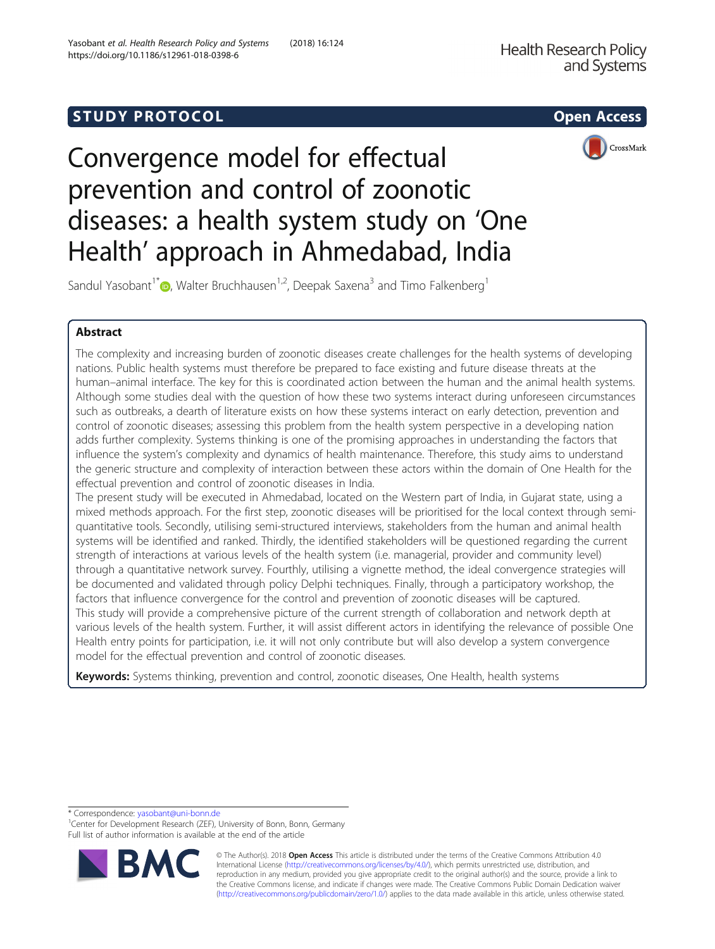# **STUDY PROTOCOL** And the set of the set of the set of the set of the set of the set of the set of the set of the set of the set of the set of the set of the set of the set of the set of the set of the set of the set of the





Convergence model for effectual prevention and control of zoonotic diseases: a health system study on 'One Health' approach in Ahmedabad, India

Sandul Yasobant<sup>1[\\*](http://orcid.org/0000-0003-1770-8745)</sup>  $\bullet$ , Walter Bruchhausen<sup>1,2</sup>, Deepak Saxena<sup>3</sup> and Timo Falkenberg<sup>1</sup>

# Abstract

The complexity and increasing burden of zoonotic diseases create challenges for the health systems of developing nations. Public health systems must therefore be prepared to face existing and future disease threats at the human–animal interface. The key for this is coordinated action between the human and the animal health systems. Although some studies deal with the question of how these two systems interact during unforeseen circumstances such as outbreaks, a dearth of literature exists on how these systems interact on early detection, prevention and control of zoonotic diseases; assessing this problem from the health system perspective in a developing nation adds further complexity. Systems thinking is one of the promising approaches in understanding the factors that influence the system's complexity and dynamics of health maintenance. Therefore, this study aims to understand the generic structure and complexity of interaction between these actors within the domain of One Health for the effectual prevention and control of zoonotic diseases in India.

The present study will be executed in Ahmedabad, located on the Western part of India, in Gujarat state, using a mixed methods approach. For the first step, zoonotic diseases will be prioritised for the local context through semiquantitative tools. Secondly, utilising semi-structured interviews, stakeholders from the human and animal health systems will be identified and ranked. Thirdly, the identified stakeholders will be questioned regarding the current strength of interactions at various levels of the health system (i.e. managerial, provider and community level) through a quantitative network survey. Fourthly, utilising a vignette method, the ideal convergence strategies will be documented and validated through policy Delphi techniques. Finally, through a participatory workshop, the factors that influence convergence for the control and prevention of zoonotic diseases will be captured. This study will provide a comprehensive picture of the current strength of collaboration and network depth at various levels of the health system. Further, it will assist different actors in identifying the relevance of possible One Health entry points for participation, i.e. it will not only contribute but will also develop a system convergence model for the effectual prevention and control of zoonotic diseases.

Keywords: Systems thinking, prevention and control, zoonotic diseases, One Health, health systems

\* Correspondence: [yasobant@uni-bonn.de](mailto:yasobant@uni-bonn.de) <sup>1</sup>

<sup>1</sup> Center for Development Research (ZEF), University of Bonn, Bonn, Germany Full list of author information is available at the end of the article



© The Author(s). 2018 Open Access This article is distributed under the terms of the Creative Commons Attribution 4.0 International License [\(http://creativecommons.org/licenses/by/4.0/](http://creativecommons.org/licenses/by/4.0/)), which permits unrestricted use, distribution, and reproduction in any medium, provided you give appropriate credit to the original author(s) and the source, provide a link to the Creative Commons license, and indicate if changes were made. The Creative Commons Public Domain Dedication waiver [\(http://creativecommons.org/publicdomain/zero/1.0/](http://creativecommons.org/publicdomain/zero/1.0/)) applies to the data made available in this article, unless otherwise stated.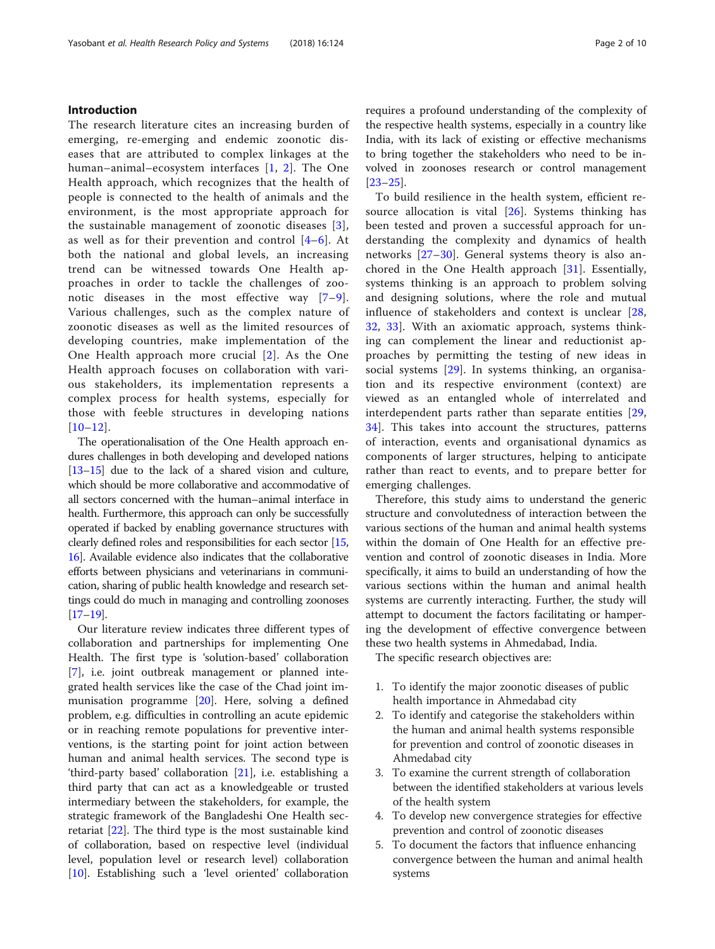# Introduction

The research literature cites an increasing burden of emerging, re-emerging and endemic zoonotic diseases that are attributed to complex linkages at the human–animal–ecosystem interfaces [[1](#page-7-0), [2](#page-7-0)]. The One Health approach, which recognizes that the health of people is connected to the health of animals and the environment, is the most appropriate approach for the sustainable management of zoonotic diseases [[3](#page-7-0)], as well as for their prevention and control [[4](#page-7-0)–[6](#page-7-0)]. At both the national and global levels, an increasing trend can be witnessed towards One Health approaches in order to tackle the challenges of zoonotic diseases in the most effective way [[7](#page-7-0)–[9](#page-7-0)]. Various challenges, such as the complex nature of zoonotic diseases as well as the limited resources of developing countries, make implementation of the One Health approach more crucial [[2](#page-7-0)]. As the One Health approach focuses on collaboration with various stakeholders, its implementation represents a complex process for health systems, especially for those with feeble structures in developing nations [[10](#page-7-0)–[12\]](#page-7-0).

The operationalisation of the One Health approach endures challenges in both developing and developed nations [[13](#page-7-0)–[15](#page-7-0)] due to the lack of a shared vision and culture, which should be more collaborative and accommodative of all sectors concerned with the human–animal interface in health. Furthermore, this approach can only be successfully operated if backed by enabling governance structures with clearly defined roles and responsibilities for each sector [\[15](#page-7-0), [16](#page-7-0)]. Available evidence also indicates that the collaborative efforts between physicians and veterinarians in communication, sharing of public health knowledge and research settings could do much in managing and controlling zoonoses [[17](#page-7-0)–[19](#page-7-0)].

Our literature review indicates three different types of collaboration and partnerships for implementing One Health. The first type is 'solution-based' collaboration [[7\]](#page-7-0), i.e. joint outbreak management or planned integrated health services like the case of the Chad joint immunisation programme [[20](#page-7-0)]. Here, solving a defined problem, e.g. difficulties in controlling an acute epidemic or in reaching remote populations for preventive interventions, is the starting point for joint action between human and animal health services. The second type is 'third-party based' collaboration [\[21\]](#page-8-0), i.e. establishing a third party that can act as a knowledgeable or trusted intermediary between the stakeholders, for example, the strategic framework of the Bangladeshi One Health secretariat [[22\]](#page-8-0). The third type is the most sustainable kind of collaboration, based on respective level (individual level, population level or research level) collaboration [[10\]](#page-7-0). Establishing such a 'level oriented' collaboration requires a profound understanding of the complexity of the respective health systems, especially in a country like India, with its lack of existing or effective mechanisms to bring together the stakeholders who need to be involved in zoonoses research or control management [[23](#page-8-0)–[25](#page-8-0)].

To build resilience in the health system, efficient resource allocation is vital  $[26]$  $[26]$ . Systems thinking has been tested and proven a successful approach for understanding the complexity and dynamics of health networks [[27](#page-8-0)–[30\]](#page-8-0). General systems theory is also anchored in the One Health approach [\[31](#page-8-0)]. Essentially, systems thinking is an approach to problem solving and designing solutions, where the role and mutual influence of stakeholders and context is unclear [\[28](#page-8-0), [32,](#page-8-0) [33](#page-8-0)]. With an axiomatic approach, systems thinking can complement the linear and reductionist approaches by permitting the testing of new ideas in social systems [[29\]](#page-8-0). In systems thinking, an organisation and its respective environment (context) are viewed as an entangled whole of interrelated and interdependent parts rather than separate entities [\[29](#page-8-0), [34\]](#page-8-0). This takes into account the structures, patterns of interaction, events and organisational dynamics as components of larger structures, helping to anticipate rather than react to events, and to prepare better for emerging challenges.

Therefore, this study aims to understand the generic structure and convolutedness of interaction between the various sections of the human and animal health systems within the domain of One Health for an effective prevention and control of zoonotic diseases in India. More specifically, it aims to build an understanding of how the various sections within the human and animal health systems are currently interacting. Further, the study will attempt to document the factors facilitating or hampering the development of effective convergence between these two health systems in Ahmedabad, India.

The specific research objectives are:

- 1. To identify the major zoonotic diseases of public health importance in Ahmedabad city
- 2. To identify and categorise the stakeholders within the human and animal health systems responsible for prevention and control of zoonotic diseases in Ahmedabad city
- 3. To examine the current strength of collaboration between the identified stakeholders at various levels of the health system
- 4. To develop new convergence strategies for effective prevention and control of zoonotic diseases
- 5. To document the factors that influence enhancing convergence between the human and animal health systems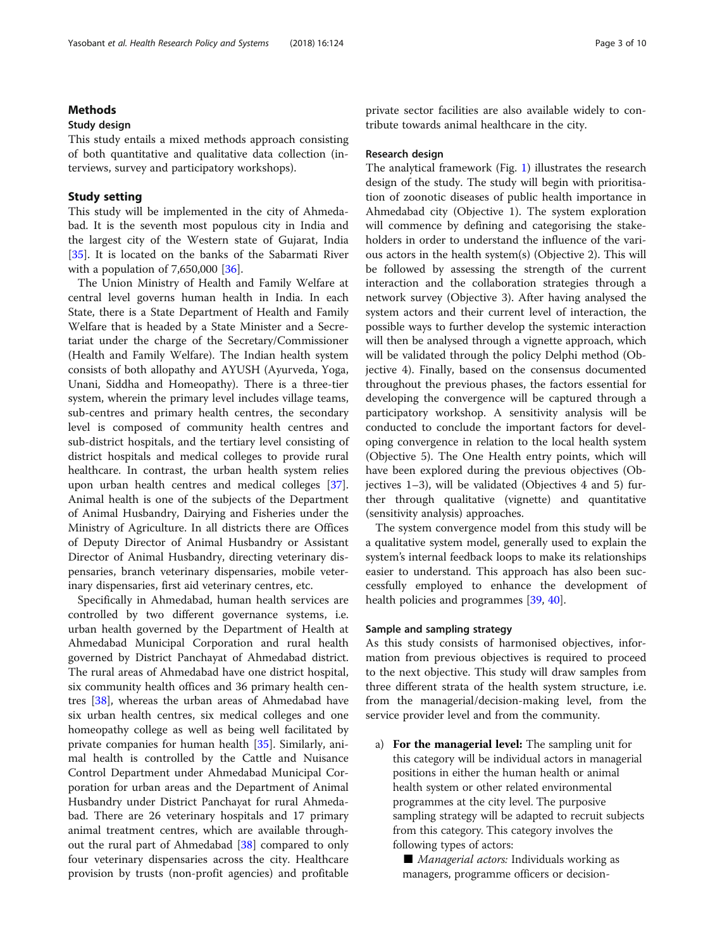# Methods

# Study design

This study entails a mixed methods approach consisting of both quantitative and qualitative data collection (interviews, survey and participatory workshops).

# Study setting

This study will be implemented in the city of Ahmedabad. It is the seventh most populous city in India and the largest city of the Western state of Gujarat, India [[35\]](#page-8-0). It is located on the banks of the Sabarmati River with a population of  $7,650,000$   $[36]$  $[36]$  $[36]$ .

The Union Ministry of Health and Family Welfare at central level governs human health in India. In each State, there is a State Department of Health and Family Welfare that is headed by a State Minister and a Secretariat under the charge of the Secretary/Commissioner (Health and Family Welfare). The Indian health system consists of both allopathy and AYUSH (Ayurveda, Yoga, Unani, Siddha and Homeopathy). There is a three-tier system, wherein the primary level includes village teams, sub-centres and primary health centres, the secondary level is composed of community health centres and sub-district hospitals, and the tertiary level consisting of district hospitals and medical colleges to provide rural healthcare. In contrast, the urban health system relies upon urban health centres and medical colleges [\[37](#page-8-0)]. Animal health is one of the subjects of the Department of Animal Husbandry, Dairying and Fisheries under the Ministry of Agriculture. In all districts there are Offices of Deputy Director of Animal Husbandry or Assistant Director of Animal Husbandry, directing veterinary dispensaries, branch veterinary dispensaries, mobile veterinary dispensaries, first aid veterinary centres, etc.

Specifically in Ahmedabad, human health services are controlled by two different governance systems, i.e. urban health governed by the Department of Health at Ahmedabad Municipal Corporation and rural health governed by District Panchayat of Ahmedabad district. The rural areas of Ahmedabad have one district hospital, six community health offices and 36 primary health centres [\[38](#page-8-0)], whereas the urban areas of Ahmedabad have six urban health centres, six medical colleges and one homeopathy college as well as being well facilitated by private companies for human health [\[35](#page-8-0)]. Similarly, animal health is controlled by the Cattle and Nuisance Control Department under Ahmedabad Municipal Corporation for urban areas and the Department of Animal Husbandry under District Panchayat for rural Ahmedabad. There are 26 veterinary hospitals and 17 primary animal treatment centres, which are available throughout the rural part of Ahmedabad [[38\]](#page-8-0) compared to only four veterinary dispensaries across the city. Healthcare provision by trusts (non-profit agencies) and profitable private sector facilities are also available widely to contribute towards animal healthcare in the city.

#### Research design

The analytical framework (Fig. [1](#page-3-0)) illustrates the research design of the study. The study will begin with prioritisation of zoonotic diseases of public health importance in Ahmedabad city (Objective 1). The system exploration will commence by defining and categorising the stakeholders in order to understand the influence of the various actors in the health system(s) (Objective 2). This will be followed by assessing the strength of the current interaction and the collaboration strategies through a network survey (Objective 3). After having analysed the system actors and their current level of interaction, the possible ways to further develop the systemic interaction will then be analysed through a vignette approach, which will be validated through the policy Delphi method (Objective 4). Finally, based on the consensus documented throughout the previous phases, the factors essential for developing the convergence will be captured through a participatory workshop. A sensitivity analysis will be conducted to conclude the important factors for developing convergence in relation to the local health system (Objective 5). The One Health entry points, which will have been explored during the previous objectives (Objectives 1–3), will be validated (Objectives 4 and 5) further through qualitative (vignette) and quantitative (sensitivity analysis) approaches.

The system convergence model from this study will be a qualitative system model, generally used to explain the system's internal feedback loops to make its relationships easier to understand. This approach has also been successfully employed to enhance the development of health policies and programmes [[39,](#page-8-0) [40](#page-8-0)].

# Sample and sampling strategy

As this study consists of harmonised objectives, information from previous objectives is required to proceed to the next objective. This study will draw samples from three different strata of the health system structure, i.e. from the managerial/decision-making level, from the service provider level and from the community.

a) For the managerial level: The sampling unit for this category will be individual actors in managerial positions in either the human health or animal health system or other related environmental programmes at the city level. The purposive sampling strategy will be adapted to recruit subjects from this category. This category involves the following types of actors:

■ *Managerial actors:* Individuals working as managers, programme officers or decision-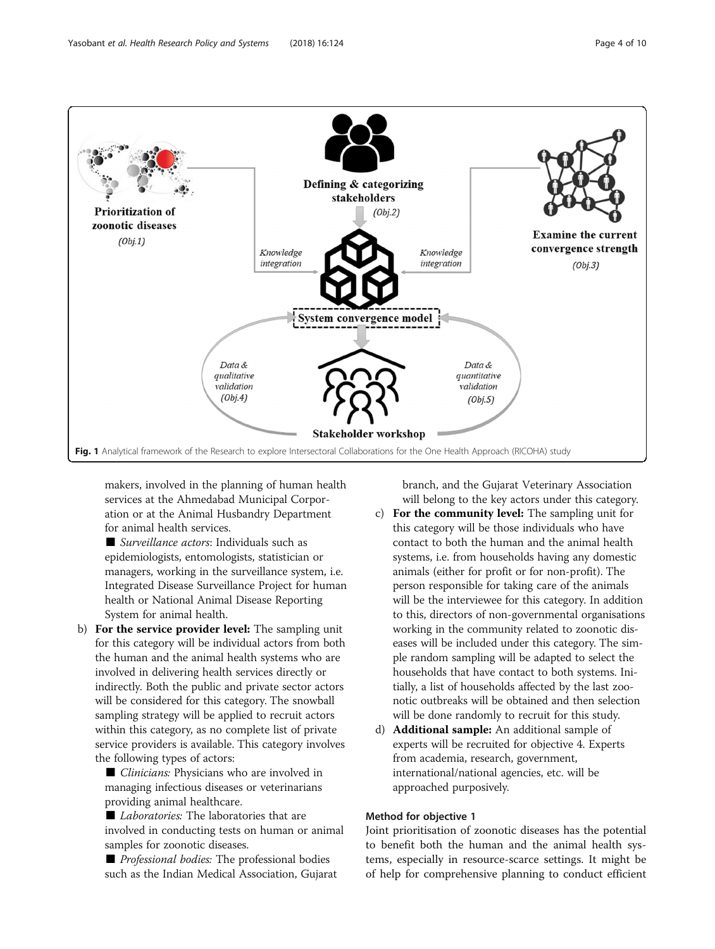<span id="page-3-0"></span>

makers, involved in the planning of human health services at the Ahmedabad Municipal Corporation or at the Animal Husbandry Department for animal health services.

■ Surveillance actors: Individuals such as epidemiologists, entomologists, statistician or managers, working in the surveillance system, i.e. Integrated Disease Surveillance Project for human health or National Animal Disease Reporting System for animal health.

- b) For the service provider level: The sampling unit for this category will be individual actors from both the human and the animal health systems who are involved in delivering health services directly or indirectly. Both the public and private sector actors will be considered for this category. The snowball sampling strategy will be applied to recruit actors within this category, as no complete list of private service providers is available. This category involves the following types of actors:
	- *Clinicians*: Physicians who are involved in managing infectious diseases or veterinarians providing animal healthcare.
	- *Laboratories:* The laboratories that are involved in conducting tests on human or animal samples for zoonotic diseases.
	- *Professional bodies:* The professional bodies such as the Indian Medical Association, Gujarat

branch, and the Gujarat Veterinary Association will belong to the key actors under this category.

- c) For the community level: The sampling unit for this category will be those individuals who have contact to both the human and the animal health systems, i.e. from households having any domestic animals (either for profit or for non-profit). The person responsible for taking care of the animals will be the interviewee for this category. In addition to this, directors of non-governmental organisations working in the community related to zoonotic diseases will be included under this category. The simple random sampling will be adapted to select the households that have contact to both systems. Initially, a list of households affected by the last zoonotic outbreaks will be obtained and then selection will be done randomly to recruit for this study.
- d) Additional sample: An additional sample of experts will be recruited for objective 4. Experts from academia, research, government, international/national agencies, etc. will be approached purposively.

# Method for objective 1

Joint prioritisation of zoonotic diseases has the potential to benefit both the human and the animal health systems, especially in resource-scarce settings. It might be of help for comprehensive planning to conduct efficient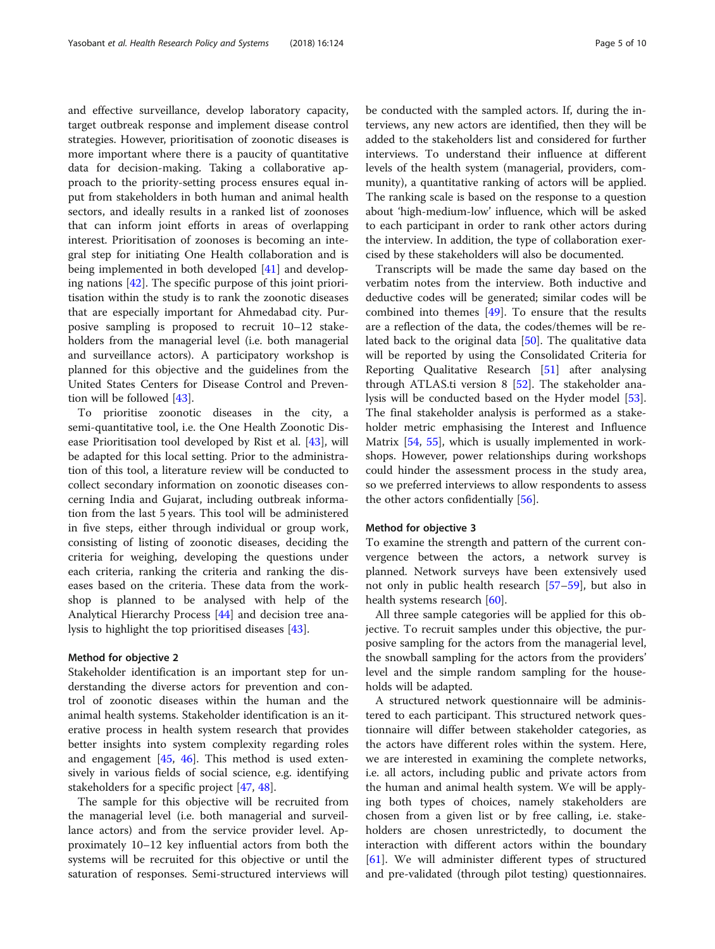and effective surveillance, develop laboratory capacity, target outbreak response and implement disease control strategies. However, prioritisation of zoonotic diseases is more important where there is a paucity of quantitative data for decision-making. Taking a collaborative approach to the priority-setting process ensures equal input from stakeholders in both human and animal health sectors, and ideally results in a ranked list of zoonoses that can inform joint efforts in areas of overlapping interest. Prioritisation of zoonoses is becoming an integral step for initiating One Health collaboration and is being implemented in both developed [[41](#page-8-0)] and developing nations [\[42\]](#page-8-0). The specific purpose of this joint prioritisation within the study is to rank the zoonotic diseases that are especially important for Ahmedabad city. Purposive sampling is proposed to recruit 10–12 stakeholders from the managerial level (i.e. both managerial and surveillance actors). A participatory workshop is planned for this objective and the guidelines from the United States Centers for Disease Control and Prevention will be followed [[43](#page-8-0)].

To prioritise zoonotic diseases in the city, a semi-quantitative tool, i.e. the One Health Zoonotic Disease Prioritisation tool developed by Rist et al. [\[43](#page-8-0)], will be adapted for this local setting. Prior to the administration of this tool, a literature review will be conducted to collect secondary information on zoonotic diseases concerning India and Gujarat, including outbreak information from the last 5 years. This tool will be administered in five steps, either through individual or group work, consisting of listing of zoonotic diseases, deciding the criteria for weighing, developing the questions under each criteria, ranking the criteria and ranking the diseases based on the criteria. These data from the workshop is planned to be analysed with help of the Analytical Hierarchy Process [[44\]](#page-8-0) and decision tree analysis to highlight the top prioritised diseases [[43\]](#page-8-0).

# Method for objective 2

Stakeholder identification is an important step for understanding the diverse actors for prevention and control of zoonotic diseases within the human and the animal health systems. Stakeholder identification is an iterative process in health system research that provides better insights into system complexity regarding roles and engagement  $[45, 46]$  $[45, 46]$  $[45, 46]$  $[45, 46]$  $[45, 46]$ . This method is used extensively in various fields of social science, e.g. identifying stakeholders for a specific project [\[47](#page-8-0), [48\]](#page-8-0).

The sample for this objective will be recruited from the managerial level (i.e. both managerial and surveillance actors) and from the service provider level. Approximately 10–12 key influential actors from both the systems will be recruited for this objective or until the saturation of responses. Semi-structured interviews will be conducted with the sampled actors. If, during the interviews, any new actors are identified, then they will be added to the stakeholders list and considered for further interviews. To understand their influence at different levels of the health system (managerial, providers, community), a quantitative ranking of actors will be applied. The ranking scale is based on the response to a question about 'high-medium-low' influence, which will be asked to each participant in order to rank other actors during the interview. In addition, the type of collaboration exercised by these stakeholders will also be documented.

Transcripts will be made the same day based on the verbatim notes from the interview. Both inductive and deductive codes will be generated; similar codes will be combined into themes [[49\]](#page-8-0). To ensure that the results are a reflection of the data, the codes/themes will be related back to the original data [\[50\]](#page-8-0). The qualitative data will be reported by using the Consolidated Criteria for Reporting Qualitative Research [\[51](#page-8-0)] after analysing through ATLAS.ti version 8 [\[52\]](#page-8-0). The stakeholder analysis will be conducted based on the Hyder model [\[53](#page-8-0)]. The final stakeholder analysis is performed as a stakeholder metric emphasising the Interest and Influence Matrix [\[54](#page-8-0), [55](#page-8-0)], which is usually implemented in workshops. However, power relationships during workshops could hinder the assessment process in the study area, so we preferred interviews to allow respondents to assess the other actors confidentially [[56\]](#page-8-0).

### Method for objective 3

To examine the strength and pattern of the current convergence between the actors, a network survey is planned. Network surveys have been extensively used not only in public health research [\[57](#page-8-0)–[59\]](#page-8-0), but also in health systems research [\[60](#page-8-0)].

All three sample categories will be applied for this objective. To recruit samples under this objective, the purposive sampling for the actors from the managerial level, the snowball sampling for the actors from the providers' level and the simple random sampling for the households will be adapted.

A structured network questionnaire will be administered to each participant. This structured network questionnaire will differ between stakeholder categories, as the actors have different roles within the system. Here, we are interested in examining the complete networks, i.e. all actors, including public and private actors from the human and animal health system. We will be applying both types of choices, namely stakeholders are chosen from a given list or by free calling, i.e. stakeholders are chosen unrestrictedly, to document the interaction with different actors within the boundary [[61\]](#page-8-0). We will administer different types of structured and pre-validated (through pilot testing) questionnaires.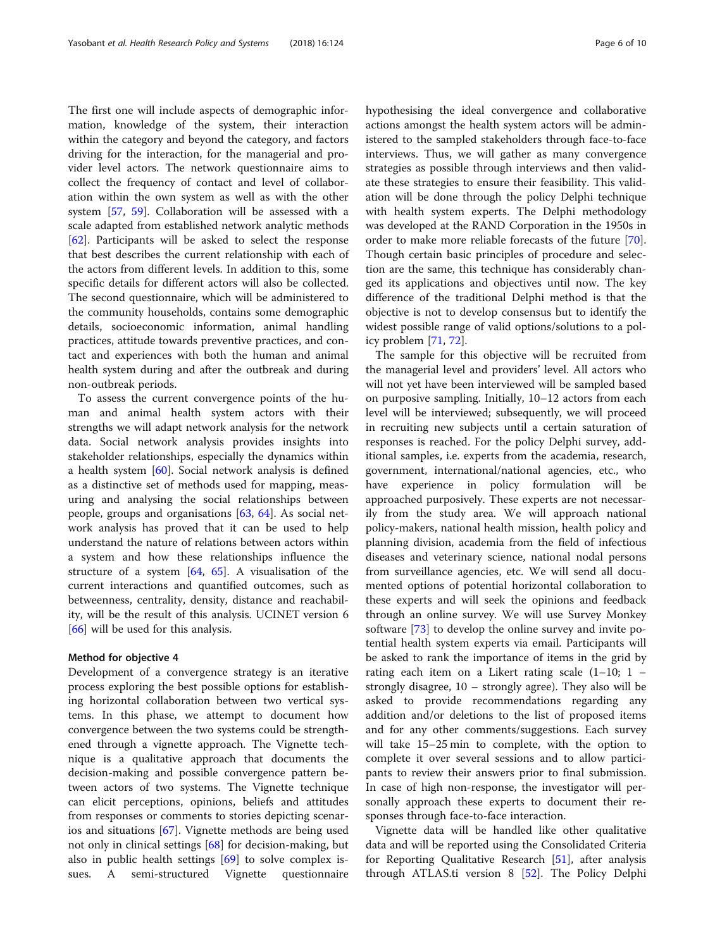The first one will include aspects of demographic information, knowledge of the system, their interaction within the category and beyond the category, and factors driving for the interaction, for the managerial and provider level actors. The network questionnaire aims to collect the frequency of contact and level of collaboration within the own system as well as with the other system [[57](#page-8-0), [59](#page-8-0)]. Collaboration will be assessed with a scale adapted from established network analytic methods [[62\]](#page-8-0). Participants will be asked to select the response that best describes the current relationship with each of the actors from different levels. In addition to this, some specific details for different actors will also be collected. The second questionnaire, which will be administered to the community households, contains some demographic details, socioeconomic information, animal handling practices, attitude towards preventive practices, and contact and experiences with both the human and animal health system during and after the outbreak and during non-outbreak periods.

To assess the current convergence points of the human and animal health system actors with their strengths we will adapt network analysis for the network data. Social network analysis provides insights into stakeholder relationships, especially the dynamics within a health system [\[60](#page-8-0)]. Social network analysis is defined as a distinctive set of methods used for mapping, measuring and analysing the social relationships between people, groups and organisations [[63](#page-8-0), [64\]](#page-8-0). As social network analysis has proved that it can be used to help understand the nature of relations between actors within a system and how these relationships influence the structure of a system  $[64, 65]$  $[64, 65]$  $[64, 65]$  $[64, 65]$ . A visualisation of the current interactions and quantified outcomes, such as betweenness, centrality, density, distance and reachability, will be the result of this analysis. UCINET version 6 [[66\]](#page-8-0) will be used for this analysis.

# Method for objective 4

Development of a convergence strategy is an iterative process exploring the best possible options for establishing horizontal collaboration between two vertical systems. In this phase, we attempt to document how convergence between the two systems could be strengthened through a vignette approach. The Vignette technique is a qualitative approach that documents the decision-making and possible convergence pattern between actors of two systems. The Vignette technique can elicit perceptions, opinions, beliefs and attitudes from responses or comments to stories depicting scenarios and situations [[67](#page-8-0)]. Vignette methods are being used not only in clinical settings [[68\]](#page-8-0) for decision-making, but also in public health settings [[69\]](#page-9-0) to solve complex issues. A semi-structured Vignette questionnaire hypothesising the ideal convergence and collaborative actions amongst the health system actors will be administered to the sampled stakeholders through face-to-face interviews. Thus, we will gather as many convergence strategies as possible through interviews and then validate these strategies to ensure their feasibility. This validation will be done through the policy Delphi technique with health system experts. The Delphi methodology was developed at the RAND Corporation in the 1950s in order to make more reliable forecasts of the future [\[70](#page-9-0)]. Though certain basic principles of procedure and selection are the same, this technique has considerably changed its applications and objectives until now. The key difference of the traditional Delphi method is that the objective is not to develop consensus but to identify the widest possible range of valid options/solutions to a policy problem [\[71](#page-9-0), [72](#page-9-0)].

The sample for this objective will be recruited from the managerial level and providers' level. All actors who will not yet have been interviewed will be sampled based on purposive sampling. Initially, 10–12 actors from each level will be interviewed; subsequently, we will proceed in recruiting new subjects until a certain saturation of responses is reached. For the policy Delphi survey, additional samples, i.e. experts from the academia, research, government, international/national agencies, etc., who have experience in policy formulation will be approached purposively. These experts are not necessarily from the study area. We will approach national policy-makers, national health mission, health policy and planning division, academia from the field of infectious diseases and veterinary science, national nodal persons from surveillance agencies, etc. We will send all documented options of potential horizontal collaboration to these experts and will seek the opinions and feedback through an online survey. We will use Survey Monkey software [\[73](#page-9-0)] to develop the online survey and invite potential health system experts via email. Participants will be asked to rank the importance of items in the grid by rating each item on a Likert rating scale  $(1-10; 1$ strongly disagree, 10 – strongly agree). They also will be asked to provide recommendations regarding any addition and/or deletions to the list of proposed items and for any other comments/suggestions. Each survey will take 15–25 min to complete, with the option to complete it over several sessions and to allow participants to review their answers prior to final submission. In case of high non-response, the investigator will personally approach these experts to document their responses through face-to-face interaction.

Vignette data will be handled like other qualitative data and will be reported using the Consolidated Criteria for Reporting Qualitative Research [[51\]](#page-8-0), after analysis through ATLAS.ti version 8 [[52](#page-8-0)]. The Policy Delphi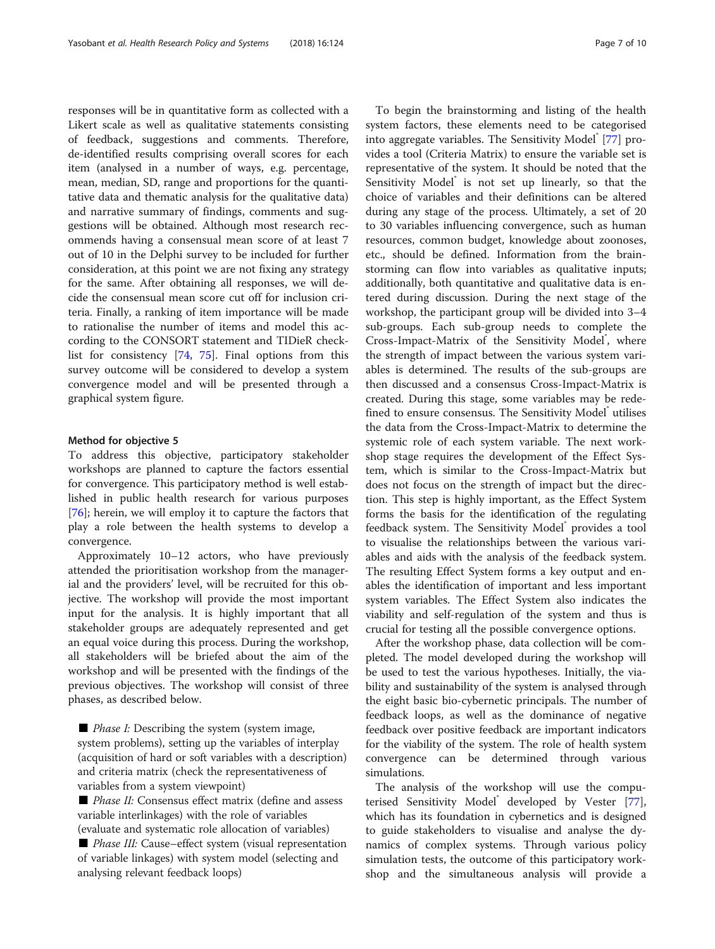responses will be in quantitative form as collected with a Likert scale as well as qualitative statements consisting of feedback, suggestions and comments. Therefore, de-identified results comprising overall scores for each item (analysed in a number of ways, e.g. percentage, mean, median, SD, range and proportions for the quantitative data and thematic analysis for the qualitative data) and narrative summary of findings, comments and suggestions will be obtained. Although most research recommends having a consensual mean score of at least 7 out of 10 in the Delphi survey to be included for further consideration, at this point we are not fixing any strategy for the same. After obtaining all responses, we will decide the consensual mean score cut off for inclusion criteria. Finally, a ranking of item importance will be made to rationalise the number of items and model this according to the CONSORT statement and TIDieR checklist for consistency [\[74](#page-9-0), [75](#page-9-0)]. Final options from this survey outcome will be considered to develop a system convergence model and will be presented through a graphical system figure.

### Method for objective 5

To address this objective, participatory stakeholder workshops are planned to capture the factors essential for convergence. This participatory method is well established in public health research for various purposes [[76\]](#page-9-0); herein, we will employ it to capture the factors that play a role between the health systems to develop a convergence.

Approximately 10–12 actors, who have previously attended the prioritisation workshop from the managerial and the providers' level, will be recruited for this objective. The workshop will provide the most important input for the analysis. It is highly important that all stakeholder groups are adequately represented and get an equal voice during this process. During the workshop, all stakeholders will be briefed about the aim of the workshop and will be presented with the findings of the previous objectives. The workshop will consist of three phases, as described below.

■ *Phase I:* Describing the system (system image, system problems), setting up the variables of interplay (acquisition of hard or soft variables with a description) and criteria matrix (check the representativeness of variables from a system viewpoint)

■ *Phase II:* Consensus effect matrix (define and assess variable interlinkages) with the role of variables (evaluate and systematic role allocation of variables) ■ *Phase III:* Cause–effect system (visual representation of variable linkages) with system model (selecting and analysing relevant feedback loops)

To begin the brainstorming and listing of the health system factors, these elements need to be categorised into aggregate variables. The Sensitivity Model<sup>®</sup> [[77\]](#page-9-0) provides a tool (Criteria Matrix) to ensure the variable set is representative of the system. It should be noted that the Sensitivity Model<sup>®</sup> is not set up linearly, so that the choice of variables and their definitions can be altered during any stage of the process. Ultimately, a set of 20 to 30 variables influencing convergence, such as human resources, common budget, knowledge about zoonoses, etc., should be defined. Information from the brainstorming can flow into variables as qualitative inputs; additionally, both quantitative and qualitative data is entered during discussion. During the next stage of the workshop, the participant group will be divided into 3–4 sub-groups. Each sub-group needs to complete the Cross-Impact-Matrix of the Sensitivity Model<sup>®</sup>, where the strength of impact between the various system variables is determined. The results of the sub-groups are then discussed and a consensus Cross-Impact-Matrix is created. During this stage, some variables may be redefined to ensure consensus. The Sensitivity Model<sup>®</sup> utilises the data from the Cross-Impact-Matrix to determine the systemic role of each system variable. The next workshop stage requires the development of the Effect System, which is similar to the Cross-Impact-Matrix but does not focus on the strength of impact but the direction. This step is highly important, as the Effect System forms the basis for the identification of the regulating feedback system. The Sensitivity Model<sup>®</sup> provides a tool to visualise the relationships between the various variables and aids with the analysis of the feedback system. The resulting Effect System forms a key output and enables the identification of important and less important system variables. The Effect System also indicates the viability and self-regulation of the system and thus is crucial for testing all the possible convergence options.

After the workshop phase, data collection will be completed. The model developed during the workshop will be used to test the various hypotheses. Initially, the viability and sustainability of the system is analysed through the eight basic bio-cybernetic principals. The number of feedback loops, as well as the dominance of negative feedback over positive feedback are important indicators for the viability of the system. The role of health system convergence can be determined through various simulations.

The analysis of the workshop will use the compu-terised Sensitivity Model<sup>®</sup> developed by Vester [\[77](#page-9-0)], which has its foundation in cybernetics and is designed to guide stakeholders to visualise and analyse the dynamics of complex systems. Through various policy simulation tests, the outcome of this participatory workshop and the simultaneous analysis will provide a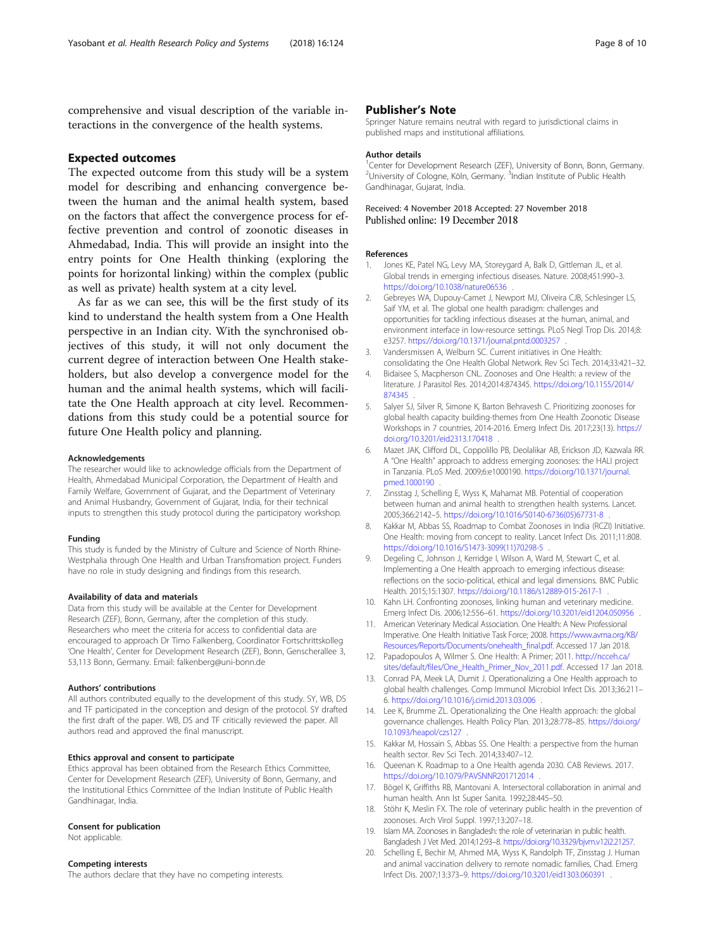<span id="page-7-0"></span>comprehensive and visual description of the variable interactions in the convergence of the health systems.

# Expected outcomes

The expected outcome from this study will be a system model for describing and enhancing convergence between the human and the animal health system, based on the factors that affect the convergence process for effective prevention and control of zoonotic diseases in Ahmedabad, India. This will provide an insight into the entry points for One Health thinking (exploring the points for horizontal linking) within the complex (public as well as private) health system at a city level.

As far as we can see, this will be the first study of its kind to understand the health system from a One Health perspective in an Indian city. With the synchronised objectives of this study, it will not only document the current degree of interaction between One Health stakeholders, but also develop a convergence model for the human and the animal health systems, which will facilitate the One Health approach at city level. Recommendations from this study could be a potential source for future One Health policy and planning.

#### Acknowledgements

The researcher would like to acknowledge officials from the Department of Health, Ahmedabad Municipal Corporation, the Department of Health and Family Welfare, Government of Gujarat, and the Department of Veterinary and Animal Husbandry, Government of Gujarat, India, for their technical inputs to strengthen this study protocol during the participatory workshop.

#### Funding

This study is funded by the Ministry of Culture and Science of North Rhine-Westphalia through One Health and Urban Transfromation project. Funders have no role in study designing and findings from this research.

#### Availability of data and materials

Data from this study will be available at the Center for Development Research (ZEF), Bonn, Germany, after the completion of this study. Researchers who meet the criteria for access to confidential data are encouraged to approach Dr Timo Falkenberg, Coordinator Fortschrittskolleg 'One Health', Center for Development Research (ZEF), Bonn, Genscherallee 3, 53,113 Bonn, Germany. Email: falkenberg@uni-bonn.de

#### Authors' contributions

All authors contributed equally to the development of this study. SY, WB, DS and TF participated in the conception and design of the protocol. SY drafted the first draft of the paper. WB, DS and TF critically reviewed the paper. All authors read and approved the final manuscript.

#### Ethics approval and consent to participate

Ethics approval has been obtained from the Research Ethics Committee, Center for Development Research (ZEF), University of Bonn, Germany, and the Institutional Ethics Committee of the Indian Institute of Public Health Gandhinagar, India.

#### Consent for publication

Not applicable.

#### Competing interests

The authors declare that they have no competing interests.

# Publisher's Note

Springer Nature remains neutral with regard to jurisdictional claims in published maps and institutional affiliations.

#### Author details

<sup>1</sup> Center for Development Research (ZEF), University of Bonn, Bonn, Germany <sup>2</sup>University of Cologne, Köln, Germany. <sup>3</sup>Indian Institute of Public Health Gandhinagar, Gujarat, India.

# Received: 4 November 2018 Accepted: 27 November 2018

#### References

- 1. Jones KE, Patel NG, Levy MA, Storeygard A, Balk D, Gittleman JL, et al. Global trends in emerging infectious diseases. Nature. 2008;451:990–3. <https://doi.org/10.1038/nature06536> .
- 2. Gebreyes WA, Dupouy-Camet J, Newport MJ, Oliveira CJB, Schlesinger LS, Saif YM, et al. The global one health paradigm: challenges and opportunities for tackling infectious diseases at the human, animal, and environment interface in low-resource settings. PLoS Negl Trop Dis. 2014;8: e3257. <https://doi.org/10.1371/journal.pntd.0003257> .
- 3. Vandersmissen A, Welburn SC. Current initiatives in One Health: consolidating the One Health Global Network. Rev Sci Tech. 2014;33:421–32.
- 4. Bidaisee S, Macpherson CNL. Zoonoses and One Health: a review of the literature. J Parasitol Res. 2014;2014:874345. [https://doi.org/10.1155/2014/](https://doi.org/10.1155/2014/874345) [874345](https://doi.org/10.1155/2014/874345) .
- 5. Salyer SJ, Silver R, Simone K, Barton Behravesh C. Prioritizing zoonoses for global health capacity building-themes from One Health Zoonotic Disease Workshops in 7 countries, 2014-2016. Emerg Infect Dis. 2017;23(13). [https://](https://doi.org/10.3201/eid2313.170418) [doi.org/10.3201/eid2313.170418](https://doi.org/10.3201/eid2313.170418) .
- 6. Mazet JAK, Clifford DL, Coppolillo PB, Deolalikar AB, Erickson JD, Kazwala RR. A "One Health" approach to address emerging zoonoses: the HALI project in Tanzania. PLoS Med. 2009;6:e1000190. [https://doi.org/10.1371/journal.](https://doi.org/10.1371/journal.pmed.1000190) [pmed.1000190](https://doi.org/10.1371/journal.pmed.1000190) .
- 7. Zinsstag J, Schelling E, Wyss K, Mahamat MB. Potential of cooperation between human and animal health to strengthen health systems. Lancet. 2005;366:2142–5. [https://doi.org/10.1016/S0140-6736\(05\)67731-8](https://doi.org/10.1016/S0140-6736(05)67731-8) .
- 8. Kakkar M, Abbas SS, Roadmap to Combat Zoonoses in India (RCZI) Initiative. One Health: moving from concept to reality. Lancet Infect Dis. 2011;11:808. [https://doi.org/10.1016/S1473-3099\(11\)70298-5](https://doi.org/10.1016/S1473-3099(11)70298-5) .
- 9. Degeling C, Johnson J, Kerridge I, Wilson A, Ward M, Stewart C, et al. Implementing a One Health approach to emerging infectious disease: reflections on the socio-political, ethical and legal dimensions. BMC Public Health. 2015;15:1307. <https://doi.org/10.1186/s12889-015-2617-1> .
- 10. Kahn LH. Confronting zoonoses, linking human and veterinary medicine. Emerg Infect Dis. 2006;12:556–61. <https://doi.org/10.3201/eid1204.050956> .
- 11. American Veterinary Medical Association. One Health: A New Professional Imperative. One Health Initiative Task Force; 2008. [https://www.avma.org/KB/](https://www.avma.org/KB/Resources/Reports/Documents/onehealth_final.pdf) [Resources/Reports/Documents/onehealth\\_final.pdf](https://www.avma.org/KB/Resources/Reports/Documents/onehealth_final.pdf). Accessed 17 Jan 2018.
- 12. Papadopoulos A, Wilmer S. One Health: A Primer; 2011. [http://ncceh.ca/](http://ncceh.ca/sites/default/files/One_Health_Primer_Nov_2011.pdf) [sites/default/files/One\\_Health\\_Primer\\_Nov\\_2011.pdf.](http://ncceh.ca/sites/default/files/One_Health_Primer_Nov_2011.pdf) Accessed 17 Jan 2018.
- 13. Conrad PA, Meek LA, Dumit J. Operationalizing a One Health approach to global health challenges. Comp Immunol Microbiol Infect Dis. 2013;36:211– 6. <https://doi.org/10.1016/j.cimid.2013.03.006> .
- 14. Lee K, Brumme ZL. Operationalizing the One Health approach: the global governance challenges. Health Policy Plan. 2013;28:778–85. [https://doi.org/](https://doi.org/10.1093/heapol/czs127) [10.1093/heapol/czs127](https://doi.org/10.1093/heapol/czs127) .
- 15. Kakkar M, Hossain S, Abbas SS. One Health: a perspective from the human health sector. Rev Sci Tech. 2014;33:407–12.
- 16. Queenan K. Roadmap to a One Health agenda 2030. CAB Reviews. 2017. <https://doi.org/10.1079/PAVSNNR201712014> .
- 17. Bögel K, Griffiths RB, Mantovani A. Intersectoral collaboration in animal and human health. Ann Ist Super Sanita. 1992;28:445–50.
- 18. Stöhr K, Meslin FX. The role of veterinary public health in the prevention of zoonoses. Arch Virol Suppl. 1997;13:207–18.
- 19. Islam MA. Zoonoses in Bangladesh: the role of veterinarian in public health. Bangladesh J Vet Med. 2014;12:93–8. [https://doi.org/10.3329/bjvm.v12i2.21257.](https://doi.org/10.3329/bjvm.v12i2.21257)
- 20. Schelling E, Bechir M, Ahmed MA, Wyss K, Randolph TF, Zinsstag J. Human and animal vaccination delivery to remote nomadic families, Chad. Emerg Infect Dis. 2007;13:373–9. <https://doi.org/10.3201/eid1303.060391> .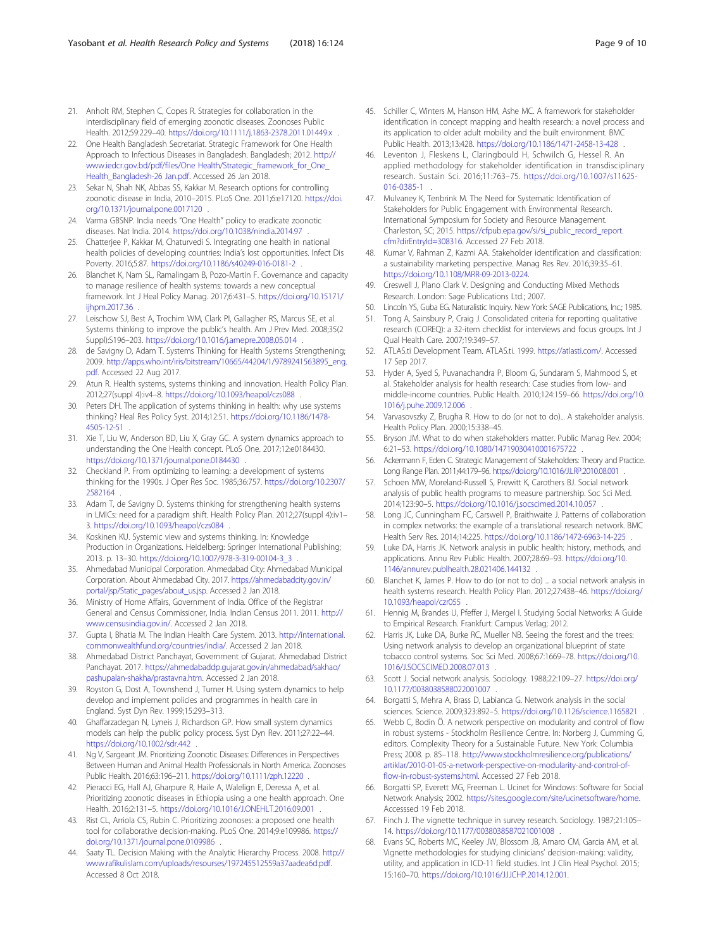- <span id="page-8-0"></span>21. Anholt RM, Stephen C, Copes R. Strategies for collaboration in the interdisciplinary field of emerging zoonotic diseases. Zoonoses Public Health. 2012;59:229-40. <https://doi.org/10.1111/j.1863-2378.2011.01449.x> .
- 22. One Health Bangladesh Secretariat. Strategic Framework for One Health Approach to Infectious Diseases in Bangladesh. Bangladesh; 2012. [http://](http://www.iedcr.gov.bd/pdf/files/One%20Health/Strategic_framework_for_One_Health_Bangladesh-26%20Jan.pdf) [www.iedcr.gov.bd/pdf/files/One Health/Strategic\\_framework\\_for\\_One\\_](http://www.iedcr.gov.bd/pdf/files/One%20Health/Strategic_framework_for_One_Health_Bangladesh-26%20Jan.pdf) [Health\\_Bangladesh-26 Jan.pdf.](http://www.iedcr.gov.bd/pdf/files/One%20Health/Strategic_framework_for_One_Health_Bangladesh-26%20Jan.pdf) Accessed 26 Jan 2018.
- 23. Sekar N, Shah NK, Abbas SS, Kakkar M. Research options for controlling zoonotic disease in India, 2010–2015. PLoS One. 2011;6:e17120. [https://doi.](https://doi.org/10.1371/journal.pone.0017120) [org/10.1371/journal.pone.0017120](https://doi.org/10.1371/journal.pone.0017120) .
- 24. Varma GBSNP. India needs "One Health" policy to eradicate zoonotic diseases. Nat India. 2014. <https://doi.org/10.1038/nindia.2014.97> .
- 25. Chatterjee P, Kakkar M, Chaturvedi S. Integrating one health in national health policies of developing countries: India's lost opportunities. Infect Dis Poverty. 2016;5:87. <https://doi.org/10.1186/s40249-016-0181-2> .
- 26. Blanchet K, Nam SL, Ramalingam B, Pozo-Martin F. Governance and capacity to manage resilience of health systems: towards a new conceptual framework. Int J Heal Policy Manag. 2017;6:431–5. [https://doi.org/10.15171/](https://doi.org/10.15171/ijhpm.2017.36) [ijhpm.2017.36](https://doi.org/10.15171/ijhpm.2017.36)
- 27. Leischow SJ, Best A, Trochim WM, Clark PI, Gallagher RS, Marcus SE, et al. Systems thinking to improve the public's health. Am J Prev Med. 2008;35(2 Suppl):S196–203. <https://doi.org/10.1016/j.amepre.2008.05.014> .
- 28. de Savigny D, Adam T. Systems Thinking for Health Systems Strengthening; 2009. [http://apps.who.int/iris/bitstream/10665/44204/1/9789241563895\\_eng.](http://apps.who.int/iris/bitstream/10665/44204/1/9789241563895_eng.pdf) [pdf](http://apps.who.int/iris/bitstream/10665/44204/1/9789241563895_eng.pdf). Accessed 22 Aug 2017.
- 29. Atun R. Health systems, systems thinking and innovation. Health Policy Plan. 2012;27(suppl 4):iv4–8. <https://doi.org/10.1093/heapol/czs088> .
- 30. Peters DH. The application of systems thinking in health: why use systems thinking? Heal Res Policy Syst. 2014;12:51. [https://doi.org/10.1186/1478-](https://doi.org/10.1186/1478-4505-12-51) [4505-12-51](https://doi.org/10.1186/1478-4505-12-51) .
- 31. Xie T, Liu W, Anderson BD, Liu X, Gray GC. A system dynamics approach to understanding the One Health concept. PLoS One. 2017;12:e0184430. <https://doi.org/10.1371/journal.pone.0184430> .
- 32. Checkland P. From optimizing to learning: a development of systems thinking for the 1990s. J Oper Res Soc. 1985;36:757. [https://doi.org/10.2307/](https://doi.org/10.2307/2582164) [2582164](https://doi.org/10.2307/2582164)
- 33. Adam T, de Savigny D. Systems thinking for strengthening health systems in LMICs: need for a paradigm shift. Health Policy Plan. 2012;27(suppl 4):iv1– 3. <https://doi.org/10.1093/heapol/czs084> .
- 34. Koskinen KU. Systemic view and systems thinking. In: Knowledge Production in Organizations. Heidelberg: Springer International Publishing; 2013. p. 13–30. [https://doi.org/10.1007/978-3-319-00104-3\\_3](https://doi.org/10.1007/978-3-319-00104-3_3) .
- 35. Ahmedabad Municipal Corporation. Ahmedabad City: Ahmedabad Municipal Corporation. About Ahmedabad City. 2017. [https://ahmedabadcity.gov.in/](https://ahmedabadcity.gov.in/portal/jsp/Static_pages/about_us.jsp) [portal/jsp/Static\\_pages/about\\_us.jsp.](https://ahmedabadcity.gov.in/portal/jsp/Static_pages/about_us.jsp) Accessed 2 Jan 2018.
- 36. Ministry of Home Affairs, Government of India. Office of the Registrar General and Census Commissioner, India. Indian Census 2011. 2011. [http://](http://www.censusindia.gov.in/) [www.censusindia.gov.in/](http://www.censusindia.gov.in/). Accessed 2 Jan 2018.
- 37. Gupta I, Bhatia M. The Indian Health Care System. 2013. [http://international.](http://international.commonwealthfund.org/countries/india/) [commonwealthfund.org/countries/india/](http://international.commonwealthfund.org/countries/india/). Accessed 2 Jan 2018.
- 38. Ahmedabad District Panchayat, Government of Gujarat. Ahmedabad District Panchayat. 2017. [https://ahmedabaddp.gujarat.gov.in/ahmedabad/sakhao/](https://ahmedabaddp.gujarat.gov.in/ahmedabad/sakhao/pashupalan-shakha/prastavna.htm) [pashupalan-shakha/prastavna.htm](https://ahmedabaddp.gujarat.gov.in/ahmedabad/sakhao/pashupalan-shakha/prastavna.htm). Accessed 2 Jan 2018.
- 39. Royston G, Dost A, Townshend J, Turner H. Using system dynamics to help develop and implement policies and programmes in health care in England. Syst Dyn Rev. 1999;15:293–313.
- 40. Ghaffarzadegan N, Lyneis J, Richardson GP. How small system dynamics models can help the public policy process. Syst Dyn Rev. 2011;27:22–44. <https://doi.org/10.1002/sdr.442> .
- 41. Ng V, Sargeant JM. Prioritizing Zoonotic Diseases: Differences in Perspectives Between Human and Animal Health Professionals in North America. Zoonoses Public Health. 2016;63:196–211. <https://doi.org/10.1111/zph.12220> .
- 42. Pieracci EG, Hall AJ, Gharpure R, Haile A, Walelign E, Deressa A, et al. Prioritizing zoonotic diseases in Ethiopia using a one health approach. One Health. 2016;2:131–5. <https://doi.org/10.1016/J.ONEHLT.2016.09.001> .
- 43. Rist CL, Arriola CS, Rubin C. Prioritizing zoonoses: a proposed one health tool for collaborative decision-making. PLoS One. 2014;9:e109986. [https://](https://doi.org/10.1371/journal.pone.0109986) [doi.org/10.1371/journal.pone.0109986](https://doi.org/10.1371/journal.pone.0109986) .
- 44. Saaty TL. Decision Making with the Analytic Hierarchy Process. 2008. [http://](http://www.rafikulislam.com/uploads/resourses/197245512559a37aadea6d.pdf) [www.rafikulislam.com/uploads/resourses/197245512559a37aadea6d.pdf](http://www.rafikulislam.com/uploads/resourses/197245512559a37aadea6d.pdf). Accessed 8 Oct 2018.
- 45. Schiller C, Winters M, Hanson HM, Ashe MC. A framework for stakeholder identification in concept mapping and health research: a novel process and its application to older adult mobility and the built environment. BMC Public Health. 2013;13:428. <https://doi.org/10.1186/1471-2458-13-428> .
- 46. Leventon J, Fleskens L, Claringbould H, Schwilch G, Hessel R. An applied methodology for stakeholder identification in transdisciplinary research. Sustain Sci. 2016;11:763–75. [https://doi.org/10.1007/s11625-](https://doi.org/10.1007/s11625-016-0385-1) [016-0385-1](https://doi.org/10.1007/s11625-016-0385-1) .
- 47. Mulvaney K, Tenbrink M. The Need for Systematic Identification of Stakeholders for Public Engagement with Environmental Research. International Symposium for Society and Resource Management. Charleston, SC; 2015. [https://cfpub.epa.gov/si/si\\_public\\_record\\_report.](https://cfpub.epa.gov/si/si_public_record_report.cfm?dirEntryId=308316) [cfm?dirEntryId=308316](https://cfpub.epa.gov/si/si_public_record_report.cfm?dirEntryId=308316). Accessed 27 Feb 2018.
- 48. Kumar V, Rahman Z, Kazmi AA. Stakeholder identification and classification: a sustainability marketing perspective. Manag Res Rev. 2016;39:35–61. [https://doi.org/10.1108/MRR-09-2013-0224.](https://doi.org/10.1108/MRR-09-2013-0224)
- 49. Creswell J, Plano Clark V. Designing and Conducting Mixed Methods Research. London: Sage Publications Ltd.; 2007.
- 50. Lincoln YS, Guba EG. Naturalistic Inquiry. New York: SAGE Publications, Inc.; 1985.
- 51. Tong A, Sainsbury P, Craig J. Consolidated criteria for reporting qualitative research (COREQ): a 32-item checklist for interviews and focus groups. Int J Qual Health Care. 2007;19:349–57.
- 52. ATLAS.ti Development Team. ATLAS.ti. 1999. <https://atlasti.com/>. Accessed 17 Sep 2017.
- 53. Hyder A, Syed S, Puvanachandra P, Bloom G, Sundaram S, Mahmood S, et al. Stakeholder analysis for health research: Case studies from low- and middle-income countries. Public Health. 2010;124:159–66. [https://doi.org/10.](https://doi.org/10.1016/j.puhe.2009.12.006) [1016/j.puhe.2009.12.006](https://doi.org/10.1016/j.puhe.2009.12.006) .
- 54. Varvasovszky Z, Brugha R. How to do (or not to do)... A stakeholder analysis. Health Policy Plan. 2000;15:338–45.
- 55. Bryson JM. What to do when stakeholders matter. Public Manag Rev. 2004; 6:21–53. <https://doi.org/10.1080/14719030410001675722> .
- 56. Ackermann F, Eden C. Strategic Management of Stakeholders: Theory and Practice. Long Range Plan. 2011;44:179–96. <https://doi.org/10.1016/J.LRP.2010.08.001> .
- 57. Schoen MW, Moreland-Russell S, Prewitt K, Carothers BJ. Social network analysis of public health programs to measure partnership. Soc Sci Med. 2014;123:90–5. <https://doi.org/10.1016/j.socscimed.2014.10.057> .
- 58. Long JC, Cunningham FC, Carswell P, Braithwaite J. Patterns of collaboration in complex networks: the example of a translational research network. BMC Health Serv Res. 2014;14:225. <https://doi.org/10.1186/1472-6963-14-225> .
- 59. Luke DA, Harris JK. Network analysis in public health: history, methods, and applications. Annu Rev Public Health. 2007;28:69–93. [https://doi.org/10.](https://doi.org/10.1146/annurev.publhealth.28.021406.144132) [1146/annurev.publhealth.28.021406.144132](https://doi.org/10.1146/annurev.publhealth.28.021406.144132) .
- 60. Blanchet K, James P. How to do (or not to do) ... a social network analysis in health systems research. Health Policy Plan. 2012;27:438–46. [https://doi.org/](https://doi.org/10.1093/heapol/czr055) [10.1093/heapol/czr055](https://doi.org/10.1093/heapol/czr055) .
- 61. Hennig M, Brandes U, Pfeffer J, Mergel I. Studying Social Networks: A Guide to Empirical Research. Frankfurt: Campus Verlag; 2012.
- 62. Harris JK, Luke DA, Burke RC, Mueller NB. Seeing the forest and the trees: Using network analysis to develop an organizational blueprint of state tobacco control systems. Soc Sci Med. 2008;67:1669–78. [https://doi.org/10.](https://doi.org/10.1016/J.SOCSCIMED.2008.07.013) [1016/J.SOCSCIMED.2008.07.013](https://doi.org/10.1016/J.SOCSCIMED.2008.07.013) .
- 63. Scott J. Social network analysis. Sociology. 1988;22:109–27. [https://doi.org/](https://doi.org/10.1177/0038038588022001007) [10.1177/0038038588022001007](https://doi.org/10.1177/0038038588022001007) .
- 64. Borgatti S, Mehra A, Brass D, Labianca G. Network analysis in the social sciences. Science. 2009;323:892–5. <https://doi.org/10.1126/science.1165821> .
- 65. Webb C, Bodin Ö. A network perspective on modularity and control of flow in robust systems - Stockholm Resilience Centre. In: Norberg J, Cumming G, editors. Complexity Theory for a Sustainable Future. New York: Columbia Press; 2008. p. 85–118. [http://www.stockholmresilience.org/publications/](http://www.stockholmresilience.org/publications/artiklar/2010-01-05-a-network-perspective-on-modularity-and-control-of-flow-in-robust-systems.html) [artiklar/2010-01-05-a-network-perspective-on-modularity-and-control-of](http://www.stockholmresilience.org/publications/artiklar/2010-01-05-a-network-perspective-on-modularity-and-control-of-flow-in-robust-systems.html)[flow-in-robust-systems.html](http://www.stockholmresilience.org/publications/artiklar/2010-01-05-a-network-perspective-on-modularity-and-control-of-flow-in-robust-systems.html). Accessed 27 Feb 2018.
- 66. Borgatti SP, Everett MG, Freeman L. Ucinet for Windows: Software for Social Network Analysis; 2002. <https://sites.google.com/site/ucinetsoftware/home>. Accesssed 19 Feb 2018.
- 67. Finch J. The vignette technique in survey research. Sociology. 1987;21:105– 14. <https://doi.org/10.1177/0038038587021001008> .
- 68. Evans SC, Roberts MC, Keeley JW, Blossom JB, Amaro CM, Garcia AM, et al. Vignette methodologies for studying clinicians' decision-making: validity, utility, and application in ICD-11 field studies. Int J Clin Heal Psychol. 2015; 15:160–70. [https://doi.org/10.1016/J.IJCHP.2014.12.001.](https://doi.org/10.1016/J.IJCHP.2014.12.001)